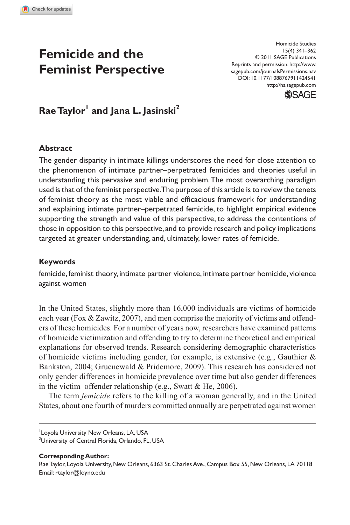# **Femicide and the Feminist Perspective**

Homicide Studies 15(4) 341–362 © 2011 SAGE Publications Reprints and permission: http://www. sagepub.com/journalsPermissions.nav DOI: 10.1177/1088767911424541 http://hs.sagepub.com



# $\mathsf{R}$ ae Taylor<sup>i</sup> and Jana L. Jasinski $^2$

#### **Abstract**

The gender disparity in intimate killings underscores the need for close attention to the phenomenon of intimate partner–perpetrated femicides and theories useful in understanding this pervasive and enduring problem. The most overarching paradigm used is that of the feminist perspective. The purpose of this article is to review the tenets of feminist theory as the most viable and efficacious framework for understanding and explaining intimate partner–perpetrated femicide, to highlight empirical evidence supporting the strength and value of this perspective, to address the contentions of those in opposition to this perspective, and to provide research and policy implications targeted at greater understanding, and, ultimately, lower rates of femicide.

#### **Keywords**

femicide, feminist theory, intimate partner violence, intimate partner homicide, violence against women

In the United States, slightly more than 16,000 individuals are victims of homicide each year (Fox & Zawitz, 2007), and men comprise the majority of victims and offenders of these homicides. For a number of years now, researchers have examined patterns of homicide victimization and offending to try to determine theoretical and empirical explanations for observed trends. Research considering demographic characteristics of homicide victims including gender, for example, is extensive (e.g., Gauthier & Bankston, 2004; Gruenewald & Pridemore, 2009). This research has considered not only gender differences in homicide prevalence over time but also gender differences in the victim–offender relationship (e.g., Swatt & He, 2006).

The term *femicide* refers to the killing of a woman generally, and in the United States, about one fourth of murders committed annually are perpetrated against women

#### **Corresponding Author:**

Loyola University New Orleans, LA, USA

<sup>&</sup>lt;sup>2</sup>University of Central Florida, Orlando, FL, USA

Rae Taylor, Loyola University, New Orleans, 6363 St. Charles Ave., Campus Box 55, New Orleans, LA 70118 Email: rtaylor@loyno.edu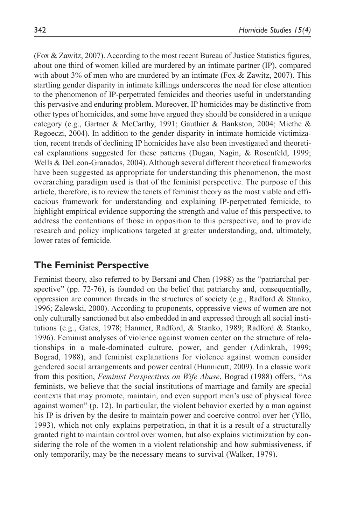(Fox & Zawitz, 2007). According to the most recent Bureau of Justice Statistics figures, about one third of women killed are murdered by an intimate partner (IP), compared with about 3% of men who are murdered by an intimate (Fox & Zawitz, 2007). This startling gender disparity in intimate killings underscores the need for close attention to the phenomenon of IP-perpetrated femicides and theories useful in understanding this pervasive and enduring problem. Moreover, IP homicides may be distinctive from other types of homicides, and some have argued they should be considered in a unique category (e.g., Gartner & McCarthy, 1991; Gauthier & Bankston, 2004; Miethe & Regoeczi, 2004). In addition to the gender disparity in intimate homicide victimization, recent trends of declining IP homicides have also been investigated and theoretical explanations suggested for these patterns (Dugan, Nagin, & Rosenfeld, 1999; Wells & DeLeon-Granados, 2004). Although several different theoretical frameworks have been suggested as appropriate for understanding this phenomenon, the most overarching paradigm used is that of the feminist perspective. The purpose of this article, therefore, is to review the tenets of feminist theory as the most viable and efficacious framework for understanding and explaining IP-perpetrated femicide, to highlight empirical evidence supporting the strength and value of this perspective, to address the contentions of those in opposition to this perspective, and to provide research and policy implications targeted at greater understanding, and, ultimately, lower rates of femicide.

# **The Feminist Perspective**

Feminist theory, also referred to by Bersani and Chen (1988) as the "patriarchal perspective" (pp. 72-76), is founded on the belief that patriarchy and, consequentially, oppression are common threads in the structures of society (e.g., Radford & Stanko, 1996; Zalewski, 2000). According to proponents, oppressive views of women are not only culturally sanctioned but also embedded in and expressed through all social institutions (e.g., Gates, 1978; Hanmer, Radford, & Stanko, 1989; Radford & Stanko, 1996). Feminist analyses of violence against women center on the structure of relationships in a male-dominated culture, power, and gender (Adinkrah, 1999; Bograd, 1988), and feminist explanations for violence against women consider gendered social arrangements and power central (Hunnicutt, 2009). In a classic work from this position, *Feminist Perspectives on Wife Abuse*, Bograd (1988) offers, "As feminists, we believe that the social institutions of marriage and family are special contexts that may promote, maintain, and even support men's use of physical force against women" (p. 12). In particular, the violent behavior exerted by a man against his IP is driven by the desire to maintain power and coercive control over her (Yllö, 1993), which not only explains perpetration, in that it is a result of a structurally granted right to maintain control over women, but also explains victimization by considering the role of the women in a violent relationship and how submissiveness, if only temporarily, may be the necessary means to survival (Walker, 1979).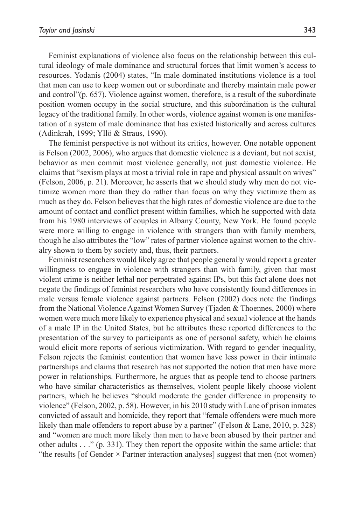Feminist explanations of violence also focus on the relationship between this cultural ideology of male dominance and structural forces that limit women's access to resources. Yodanis (2004) states, "In male dominated institutions violence is a tool that men can use to keep women out or subordinate and thereby maintain male power and control"(p. 657). Violence against women, therefore, is a result of the subordinate position women occupy in the social structure, and this subordination is the cultural legacy of the traditional family. In other words, violence against women is one manifestation of a system of male dominance that has existed historically and across cultures (Adinkrah, 1999; Yllö & Straus, 1990).

The feminist perspective is not without its critics, however. One notable opponent is Felson (2002, 2006), who argues that domestic violence is a deviant, but not sexist, behavior as men commit most violence generally, not just domestic violence. He claims that "sexism plays at most a trivial role in rape and physical assault on wives" (Felson, 2006, p. 21). Moreover, he asserts that we should study why men do not victimize women more than they do rather than focus on why they victimize them as much as they do. Felson believes that the high rates of domestic violence are due to the amount of contact and conflict present within families, which he supported with data from his 1980 interviews of couples in Albany County, New York. He found people were more willing to engage in violence with strangers than with family members, though he also attributes the "low" rates of partner violence against women to the chivalry shown to them by society and, thus, their partners.

Feminist researchers would likely agree that people generally would report a greater willingness to engage in violence with strangers than with family, given that most violent crime is neither lethal nor perpetrated against IPs, but this fact alone does not negate the findings of feminist researchers who have consistently found differences in male versus female violence against partners. Felson (2002) does note the findings from the National Violence Against Women Survey (Tjaden & Thoennes, 2000) where women were much more likely to experience physical and sexual violence at the hands of a male IP in the United States, but he attributes these reported differences to the presentation of the survey to participants as one of personal safety, which he claims would elicit more reports of serious victimization. With regard to gender inequality, Felson rejects the feminist contention that women have less power in their intimate partnerships and claims that research has not supported the notion that men have more power in relationships. Furthermore, he argues that as people tend to choose partners who have similar characteristics as themselves, violent people likely choose violent partners, which he believes "should moderate the gender difference in propensity to violence" (Felson, 2002, p. 58). However, in his 2010 study with Lane of prison inmates convicted of assault and homicide, they report that "female offenders were much more likely than male offenders to report abuse by a partner" (Felson & Lane, 2010, p. 328) and "women are much more likely than men to have been abused by their partner and other adults . . ." (p. 331). They then report the opposite within the same article: that "the results  $[of Gender \times Partner interaction analyses]$  suggest that men (not women)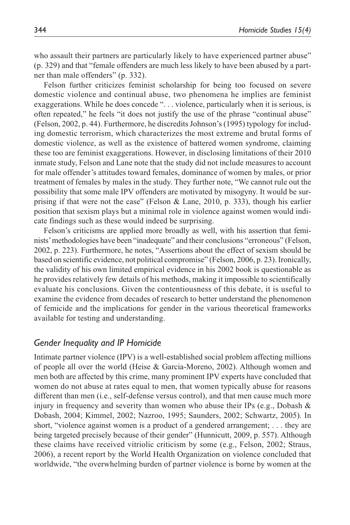who assault their partners are particularly likely to have experienced partner abuse" (p. 329) and that "female offenders are much less likely to have been abused by a partner than male offenders" (p. 332).

Felson further criticizes feminist scholarship for being too focused on severe domestic violence and continual abuse, two phenomena he implies are feminist exaggerations. While he does concede ". . . violence, particularly when it is serious, is often repeated," he feels "it does not justify the use of the phrase "continual abuse" (Felson, 2002, p. 44). Furthermore, he discredits Johnson's (1995) typology for including domestic terrorism, which characterizes the most extreme and brutal forms of domestic violence, as well as the existence of battered women syndrome, claiming these too are feminist exaggerations. However, in disclosing limitations of their 2010 inmate study, Felson and Lane note that the study did not include measures to account for male offender's attitudes toward females, dominance of women by males, or prior treatment of females by males in the study. They further note, "We cannot rule out the possibility that some male IPV offenders are motivated by misogyny. It would be surprising if that were not the case" (Felson & Lane, 2010, p. 333), though his earlier position that sexism plays but a minimal role in violence against women would indicate findings such as these would indeed be surprising.

Felson's criticisms are applied more broadly as well, with his assertion that feminists' methodologies have been "inadequate" and their conclusions "erroneous" (Felson, 2002, p. 223). Furthermore, he notes, "Assertions about the effect of sexism should be based on scientific evidence, not political compromise" (Felson, 2006, p. 23). Ironically, the validity of his own limited empirical evidence in his 2002 book is questionable as he provides relatively few details of his methods, making it impossible to scientifically evaluate his conclusions. Given the contentiousness of this debate, it is useful to examine the evidence from decades of research to better understand the phenomenon of femicide and the implications for gender in the various theoretical frameworks available for testing and understanding.

# *Gender Inequality and IP Homicide*

Intimate partner violence (IPV) is a well-established social problem affecting millions of people all over the world (Heise & Garcia-Moreno, 2002). Although women and men both are affected by this crime, many prominent IPV experts have concluded that women do not abuse at rates equal to men, that women typically abuse for reasons different than men (i.e., self-defense versus control), and that men cause much more injury in frequency and severity than women who abuse their IPs (e.g., Dobash  $\&$ Dobash, 2004; Kimmel, 2002; Nazroo, 1995; Saunders, 2002; Schwartz, 2005). In short, "violence against women is a product of a gendered arrangement; . . . they are being targeted precisely because of their gender" (Hunnicutt, 2009, p. 557). Although these claims have received vitriolic criticism by some (e.g., Felson, 2002; Straus, 2006), a recent report by the World Health Organization on violence concluded that worldwide, "the overwhelming burden of partner violence is borne by women at the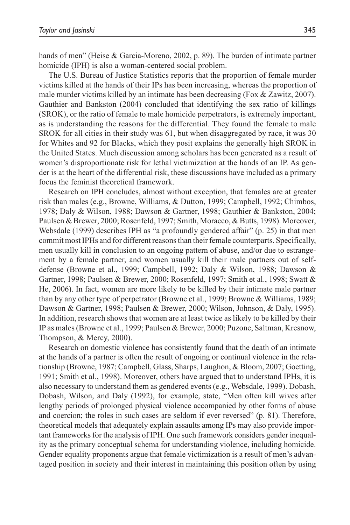hands of men" (Heise & Garcia-Moreno, 2002, p. 89). The burden of intimate partner homicide (IPH) is also a woman-centered social problem.

The U.S. Bureau of Justice Statistics reports that the proportion of female murder victims killed at the hands of their IPs has been increasing, whereas the proportion of male murder victims killed by an intimate has been decreasing (Fox  $& Zawitz, 2007$ ). Gauthier and Bankston (2004) concluded that identifying the sex ratio of killings (SROK), or the ratio of female to male homicide perpetrators, is extremely important, as is understanding the reasons for the differential. They found the female to male SROK for all cities in their study was 61, but when disaggregated by race, it was 30 for Whites and 92 for Blacks, which they posit explains the generally high SROK in the United States. Much discussion among scholars has been generated as a result of women's disproportionate risk for lethal victimization at the hands of an IP. As gender is at the heart of the differential risk, these discussions have included as a primary focus the feminist theoretical framework.

Research on IPH concludes, almost without exception, that females are at greater risk than males (e.g., Browne, Williams, & Dutton, 1999; Campbell, 1992; Chimbos, 1978; Daly & Wilson, 1988; Dawson & Gartner, 1998; Gauthier & Bankston, 2004; Paulsen & Brewer, 2000; Rosenfeld, 1997; Smith, Moracco, & Butts, 1998). Moreover, Websdale (1999) describes IPH as "a profoundly gendered affair" (p. 25) in that men commit most IPHs and for different reasons than their female counterparts. Specifically, men usually kill in conclusion to an ongoing pattern of abuse, and/or due to estrangement by a female partner, and women usually kill their male partners out of selfdefense (Browne et al., 1999; Campbell, 1992; Daly & Wilson, 1988; Dawson & Gartner, 1998; Paulsen & Brewer, 2000; Rosenfeld, 1997; Smith et al., 1998; Swatt & He, 2006). In fact, women are more likely to be killed by their intimate male partner than by any other type of perpetrator (Browne et al., 1999; Browne & Williams, 1989; Dawson & Gartner, 1998; Paulsen & Brewer, 2000; Wilson, Johnson, & Daly, 1995). In addition, research shows that women are at least twice as likely to be killed by their IP as males (Browne et al., 1999; Paulsen & Brewer, 2000; Puzone, Saltman, Kresnow, Thompson, & Mercy, 2000).

Research on domestic violence has consistently found that the death of an intimate at the hands of a partner is often the result of ongoing or continual violence in the relationship (Browne, 1987; Campbell, Glass, Sharps, Laughon, & Bloom, 2007; Goetting, 1991; Smith et al., 1998). Moreover, others have argued that to understand IPHs, it is also necessary to understand them as gendered events (e.g., Websdale, 1999). Dobash, Dobash, Wilson, and Daly (1992), for example, state, "Men often kill wives after lengthy periods of prolonged physical violence accompanied by other forms of abuse and coercion; the roles in such cases are seldom if ever reversed" (p. 81). Therefore, theoretical models that adequately explain assaults among IPs may also provide important frameworks for the analysis of IPH. One such framework considers gender inequality as the primary conceptual schema for understanding violence, including homicide. Gender equality proponents argue that female victimization is a result of men's advantaged position in society and their interest in maintaining this position often by using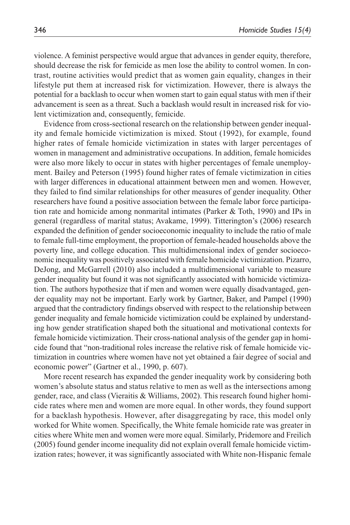violence. A feminist perspective would argue that advances in gender equity, therefore, should decrease the risk for femicide as men lose the ability to control women. In contrast, routine activities would predict that as women gain equality, changes in their lifestyle put them at increased risk for victimization. However, there is always the potential for a backlash to occur when women start to gain equal status with men if their advancement is seen as a threat. Such a backlash would result in increased risk for violent victimization and, consequently, femicide.

Evidence from cross-sectional research on the relationship between gender inequality and female homicide victimization is mixed. Stout (1992), for example, found higher rates of female homicide victimization in states with larger percentages of women in management and administrative occupations. In addition, female homicides were also more likely to occur in states with higher percentages of female unemployment. Bailey and Peterson (1995) found higher rates of female victimization in cities with larger differences in educational attainment between men and women. However, they failed to find similar relationships for other measures of gender inequality. Other researchers have found a positive association between the female labor force participation rate and homicide among nonmarital intimates (Parker & Toth, 1990) and IPs in general (regardless of marital status; Avakame, 1999). Titterington's (2006) research expanded the definition of gender socioeconomic inequality to include the ratio of male to female full-time employment, the proportion of female-headed households above the poverty line, and college education. This multidimensional index of gender socioeconomic inequality was positively associated with female homicide victimization. Pizarro, DeJong, and McGarrell (2010) also included a multidimensional variable to measure gender inequality but found it was not significantly associated with homicide victimization. The authors hypothesize that if men and women were equally disadvantaged, gender equality may not be important. Early work by Gartner, Baker, and Pampel (1990) argued that the contradictory findings observed with respect to the relationship between gender inequality and female homicide victimization could be explained by understanding how gender stratification shaped both the situational and motivational contexts for female homicide victimization. Their cross-national analysis of the gender gap in homicide found that "non-traditional roles increase the relative risk of female homicide victimization in countries where women have not yet obtained a fair degree of social and economic power" (Gartner et al., 1990, p. 607).

More recent research has expanded the gender inequality work by considering both women's absolute status and status relative to men as well as the intersections among gender, race, and class (Vieraitis & Williams, 2002). This research found higher homicide rates where men and women are more equal. In other words, they found support for a backlash hypothesis. However, after disaggregating by race, this model only worked for White women. Specifically, the White female homicide rate was greater in cities where White men and women were more equal. Similarly, Pridemore and Freilich (2005) found gender income inequality did not explain overall female homicide victimization rates; however, it was significantly associated with White non-Hispanic female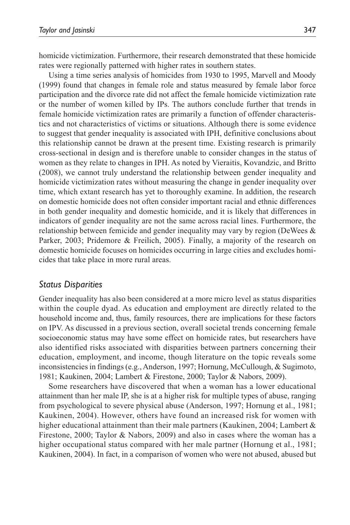homicide victimization. Furthermore, their research demonstrated that these homicide rates were regionally patterned with higher rates in southern states.

Using a time series analysis of homicides from 1930 to 1995, Marvell and Moody (1999) found that changes in female role and status measured by female labor force participation and the divorce rate did not affect the female homicide victimization rate or the number of women killed by IPs. The authors conclude further that trends in female homicide victimization rates are primarily a function of offender characteristics and not characteristics of victims or situations. Although there is some evidence to suggest that gender inequality is associated with IPH, definitive conclusions about this relationship cannot be drawn at the present time. Existing research is primarily cross-sectional in design and is therefore unable to consider changes in the status of women as they relate to changes in IPH. As noted by Vieraitis, Kovandzic, and Britto (2008), we cannot truly understand the relationship between gender inequality and homicide victimization rates without measuring the change in gender inequality over time, which extant research has yet to thoroughly examine. In addition, the research on domestic homicide does not often consider important racial and ethnic differences in both gender inequality and domestic homicide, and it is likely that differences in indicators of gender inequality are not the same across racial lines. Furthermore, the relationship between femicide and gender inequality may vary by region (DeWees & Parker, 2003; Pridemore & Freilich, 2005). Finally, a majority of the research on domestic homicide focuses on homicides occurring in large cities and excludes homicides that take place in more rural areas.

# *Status Disparities*

Gender inequality has also been considered at a more micro level as status disparities within the couple dyad. As education and employment are directly related to the household income and, thus, family resources, there are implications for these factors on IPV. As discussed in a previous section, overall societal trends concerning female socioeconomic status may have some effect on homicide rates, but researchers have also identified risks associated with disparities between partners concerning their education, employment, and income, though literature on the topic reveals some inconsistencies in findings (e.g., Anderson, 1997; Hornung, McCullough, & Sugimoto, 1981; Kaukinen, 2004; Lambert & Firestone, 2000; Taylor & Nabors, 2009).

Some researchers have discovered that when a woman has a lower educational attainment than her male IP, she is at a higher risk for multiple types of abuse, ranging from psychological to severe physical abuse (Anderson, 1997; Hornung et al., 1981; Kaukinen, 2004). However, others have found an increased risk for women with higher educational attainment than their male partners (Kaukinen, 2004; Lambert & Firestone, 2000; Taylor & Nabors, 2009) and also in cases where the woman has a higher occupational status compared with her male partner (Hornung et al., 1981; Kaukinen, 2004). In fact, in a comparison of women who were not abused, abused but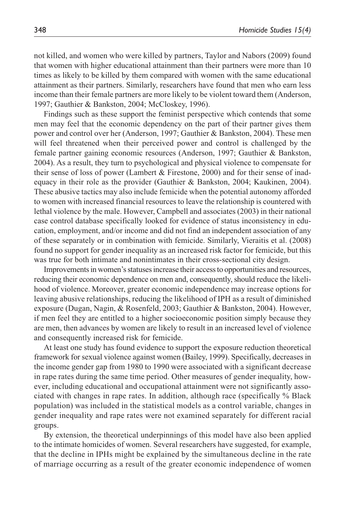not killed, and women who were killed by partners, Taylor and Nabors (2009) found that women with higher educational attainment than their partners were more than 10 times as likely to be killed by them compared with women with the same educational attainment as their partners. Similarly, researchers have found that men who earn less income than their female partners are more likely to be violent toward them (Anderson, 1997; Gauthier & Bankston, 2004; McCloskey, 1996).

Findings such as these support the feminist perspective which contends that some men may feel that the economic dependency on the part of their partner gives them power and control over her (Anderson, 1997; Gauthier & Bankston, 2004). These men will feel threatened when their perceived power and control is challenged by the female partner gaining economic resources (Anderson, 1997; Gauthier & Bankston, 2004). As a result, they turn to psychological and physical violence to compensate for their sense of loss of power (Lambert & Firestone, 2000) and for their sense of inadequacy in their role as the provider (Gauthier & Bankston, 2004; Kaukinen, 2004). These abusive tactics may also include femicide when the potential autonomy afforded to women with increased financial resources to leave the relationship is countered with lethal violence by the male. However, Campbell and associates (2003) in their national case control database specifically looked for evidence of status inconsistency in education, employment, and/or income and did not find an independent association of any of these separately or in combination with femicide. Similarly, Vieraitis et al. (2008) found no support for gender inequality as an increased risk factor for femicide, but this was true for both intimate and nonintimates in their cross-sectional city design.

Improvements in women's statuses increase their access to opportunities and resources, reducing their economic dependence on men and, consequently, should reduce the likelihood of violence. Moreover, greater economic independence may increase options for leaving abusive relationships, reducing the likelihood of IPH as a result of diminished exposure (Dugan, Nagin, & Rosenfeld, 2003; Gauthier & Bankston, 2004). However, if men feel they are entitled to a higher socioeconomic position simply because they are men, then advances by women are likely to result in an increased level of violence and consequently increased risk for femicide.

At least one study has found evidence to support the exposure reduction theoretical framework for sexual violence against women (Bailey, 1999). Specifically, decreases in the income gender gap from 1980 to 1990 were associated with a significant decrease in rape rates during the same time period. Other measures of gender inequality, however, including educational and occupational attainment were not significantly associated with changes in rape rates. In addition, although race (specifically % Black population) was included in the statistical models as a control variable, changes in gender inequality and rape rates were not examined separately for different racial groups.

By extension, the theoretical underpinnings of this model have also been applied to the intimate homicides of women. Several researchers have suggested, for example, that the decline in IPHs might be explained by the simultaneous decline in the rate of marriage occurring as a result of the greater economic independence of women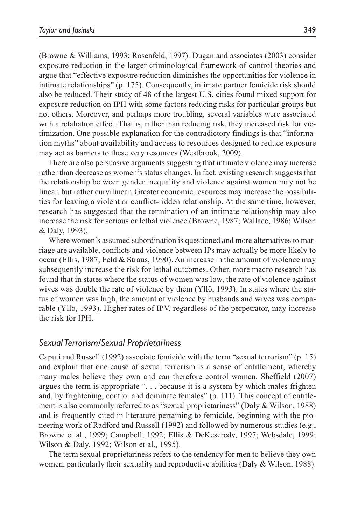(Browne & Williams, 1993; Rosenfeld, 1997). Dugan and associates (2003) consider exposure reduction in the larger criminological framework of control theories and argue that "effective exposure reduction diminishes the opportunities for violence in intimate relationships" (p. 175). Consequently, intimate partner femicide risk should also be reduced. Their study of 48 of the largest U.S. cities found mixed support for exposure reduction on IPH with some factors reducing risks for particular groups but not others. Moreover, and perhaps more troubling, several variables were associated with a retaliation effect. That is, rather than reducing risk, they increased risk for victimization. One possible explanation for the contradictory findings is that "information myths" about availability and access to resources designed to reduce exposure may act as barriers to these very resources (Westbrook, 2009).

There are also persuasive arguments suggesting that intimate violence may increase rather than decrease as women's status changes. In fact, existing research suggests that the relationship between gender inequality and violence against women may not be linear, but rather curvilinear. Greater economic resources may increase the possibilities for leaving a violent or conflict-ridden relationship. At the same time, however, research has suggested that the termination of an intimate relationship may also increase the risk for serious or lethal violence (Browne, 1987; Wallace, 1986; Wilson & Daly, 1993).

Where women's assumed subordination is questioned and more alternatives to marriage are available, conflicts and violence between IPs may actually be more likely to occur (Ellis, 1987; Feld & Straus, 1990). An increase in the amount of violence may subsequently increase the risk for lethal outcomes. Other, more macro research has found that in states where the status of women was low, the rate of violence against wives was double the rate of violence by them (Yllö, 1993). In states where the status of women was high, the amount of violence by husbands and wives was comparable (Yllö, 1993). Higher rates of IPV, regardless of the perpetrator, may increase the risk for IPH.

# *Sexual Terrorism/Sexual Proprietariness*

Caputi and Russell (1992) associate femicide with the term "sexual terrorism" (p. 15) and explain that one cause of sexual terrorism is a sense of entitlement, whereby many males believe they own and can therefore control women. Sheffield (2007) argues the term is appropriate ". . . because it is a system by which males frighten and, by frightening, control and dominate females" (p. 111). This concept of entitlement is also commonly referred to as "sexual proprietariness" (Daly & Wilson, 1988) and is frequently cited in literature pertaining to femicide, beginning with the pioneering work of Radford and Russell (1992) and followed by numerous studies (e.g., Browne et al., 1999; Campbell, 1992; Ellis & DeKeseredy, 1997; Websdale, 1999; Wilson & Daly, 1992; Wilson et al., 1995).

The term sexual proprietariness refers to the tendency for men to believe they own women, particularly their sexuality and reproductive abilities (Daly & Wilson, 1988).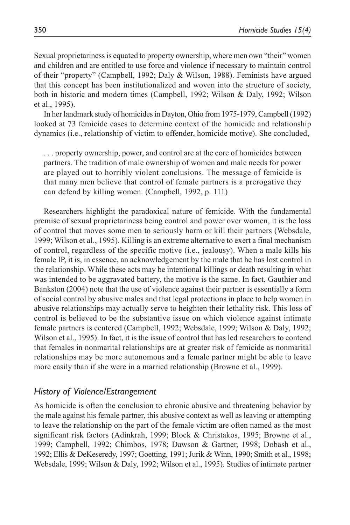Sexual proprietariness is equated to property ownership, where men own "their" women and children and are entitled to use force and violence if necessary to maintain control of their "property" (Campbell, 1992; Daly & Wilson, 1988). Feminists have argued that this concept has been institutionalized and woven into the structure of society, both in historic and modern times (Campbell, 1992; Wilson & Daly, 1992; Wilson et al., 1995).

In her landmark study of homicides in Dayton, Ohio from 1975-1979, Campbell (1992) looked at 73 femicide cases to determine context of the homicide and relationship dynamics (i.e., relationship of victim to offender, homicide motive). She concluded,

. . . property ownership, power, and control are at the core of homicides between partners. The tradition of male ownership of women and male needs for power are played out to horribly violent conclusions. The message of femicide is that many men believe that control of female partners is a prerogative they can defend by killing women. (Campbell, 1992, p. 111)

Researchers highlight the paradoxical nature of femicide. With the fundamental premise of sexual proprietariness being control and power over women, it is the loss of control that moves some men to seriously harm or kill their partners (Websdale, 1999; Wilson et al., 1995). Killing is an extreme alternative to exert a final mechanism of control, regardless of the specific motive (i.e., jealousy). When a male kills his female IP, it is, in essence, an acknowledgement by the male that he has lost control in the relationship. While these acts may be intentional killings or death resulting in what was intended to be aggravated battery, the motive is the same. In fact, Gauthier and Bankston (2004) note that the use of violence against their partner is essentially a form of social control by abusive males and that legal protections in place to help women in abusive relationships may actually serve to heighten their lethality risk. This loss of control is believed to be the substantive issue on which violence against intimate female partners is centered (Campbell, 1992; Websdale, 1999; Wilson & Daly, 1992; Wilson et al., 1995). In fact, it is the issue of control that has led researchers to contend that females in nonmarital relationships are at greater risk of femicide as nonmarital relationships may be more autonomous and a female partner might be able to leave more easily than if she were in a married relationship (Browne et al., 1999).

# *History of Violence/Estrangement*

As homicide is often the conclusion to chronic abusive and threatening behavior by the male against his female partner, this abusive context as well as leaving or attempting to leave the relationship on the part of the female victim are often named as the most significant risk factors (Adinkrah, 1999; Block & Christakos, 1995; Browne et al., 1999; Campbell, 1992; Chimbos, 1978; Dawson & Gartner, 1998; Dobash et al., 1992; Ellis & DeKeseredy, 1997; Goetting, 1991; Jurik & Winn, 1990; Smith et al., 1998; Websdale, 1999; Wilson & Daly, 1992; Wilson et al., 1995). Studies of intimate partner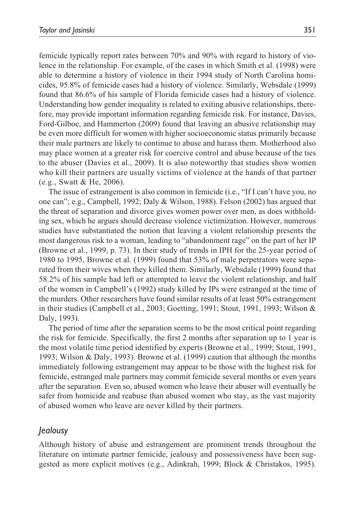femicide typically report rates between 70% and 90% with regard to history of violence in the relationship. For example, of the cases in which Smith et al. (1998) were able to determine a history of violence in their 1994 study of North Carolina homicides, 95.8% of femicide cases had a history of violence. Similarly, Websdale (1999) found that 86.6% of his sample of Florida femicide cases had a history of violence. Understanding how gender inequality is related to exiting abusive relationships, therefore, may provide important information regarding femicide risk. For instance, Davies, Ford-Gilboe, and Hammerton (2009) found that leaving an abusive relationship may be even more difficult for women with higher socioeconomic status primarily because their male partners are likely to continue to abuse and harass them. Motherhood also may place women at a greater risk for coercive control and abuse because of the ties to the abuser (Davies et al., 2009). It is also noteworthy that studies show women who kill their partners are usually victims of violence at the hands of that partner (e.g., Swatt & He, 2006).

The issue of estrangement is also common in femicide (i.e., "If I can't have you, no one can"; e.g., Campbell, 1992; Daly & Wilson, 1988). Felson (2002) has argued that the threat of separation and divorce gives women power over men, as does withholding sex, which he argues should decrease violence victimization. However, numerous studies have substantiated the notion that leaving a violent relationship presents the most dangerous risk to a woman, leading to "abandonment rage" on the part of her IP (Browne et al., 1999, p. 73). In their study of trends in IPH for the 25-year period of 1980 to 1995, Browne et al. (1999) found that 53% of male perpetrators were separated from their wives when they killed them. Similarly, Websdale (1999) found that 58.2% of his sample had left or attempted to leave the violent relationship, and half of the women in Campbell's (1992) study killed by IPs were estranged at the time of the murders. Other researchers have found similar results of at least 50% estrangement in their studies (Campbell et al., 2003; Goetting, 1991; Stout, 1991, 1993; Wilson & Daly, 1993).

The period of time after the separation seems to be the most critical point regarding the risk for femicide. Specifically, the first 2 months after separation up to 1 year is the most volatile time period identified by experts (Browne et al., 1999; Stout, 1991, 1993; Wilson & Daly, 1993). Browne et al. (1999) caution that although the months immediately following estrangement may appear to be those with the highest risk for femicide, estranged male partners may commit femicide several months or even years after the separation. Even so, abused women who leave their abuser will eventually be safer from homicide and reabuse than abused women who stay, as the vast majority of abused women who leave are never killed by their partners.

# *Jealousy*

Although history of abuse and estrangement are prominent trends throughout the literature on intimate partner femicide, jealousy and possessiveness have been suggested as more explicit motives (e.g., Adinkrah, 1999; Block & Christakos, 1995).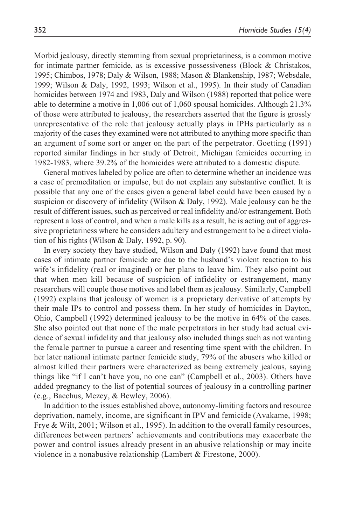Morbid jealousy, directly stemming from sexual proprietariness, is a common motive for intimate partner femicide, as is excessive possessiveness (Block & Christakos, 1995; Chimbos, 1978; Daly & Wilson, 1988; Mason & Blankenship, 1987; Websdale, 1999; Wilson & Daly, 1992, 1993; Wilson et al., 1995). In their study of Canadian homicides between 1974 and 1983, Daly and Wilson (1988) reported that police were able to determine a motive in 1,006 out of 1,060 spousal homicides. Although 21.3% of those were attributed to jealousy, the researchers asserted that the figure is grossly unrepresentative of the role that jealousy actually plays in IPHs particularly as a majority of the cases they examined were not attributed to anything more specific than an argument of some sort or anger on the part of the perpetrator. Goetting (1991) reported similar findings in her study of Detroit, Michigan femicides occurring in 1982-1983, where 39.2% of the homicides were attributed to a domestic dispute.

General motives labeled by police are often to determine whether an incidence was a case of premeditation or impulse, but do not explain any substantive conflict. It is possible that any one of the cases given a general label could have been caused by a suspicion or discovery of infidelity (Wilson & Daly, 1992). Male jealousy can be the result of different issues, such as perceived or real infidelity and/or estrangement. Both represent a loss of control, and when a male kills as a result, he is acting out of aggressive proprietariness where he considers adultery and estrangement to be a direct violation of his rights (Wilson & Daly, 1992, p. 90).

In every society they have studied, Wilson and Daly (1992) have found that most cases of intimate partner femicide are due to the husband's violent reaction to his wife's infidelity (real or imagined) or her plans to leave him. They also point out that when men kill because of suspicion of infidelity or estrangement, many researchers will couple those motives and label them as jealousy. Similarly, Campbell (1992) explains that jealousy of women is a proprietary derivative of attempts by their male IPs to control and possess them. In her study of homicides in Dayton, Ohio, Campbell (1992) determined jealousy to be the motive in 64% of the cases. She also pointed out that none of the male perpetrators in her study had actual evidence of sexual infidelity and that jealousy also included things such as not wanting the female partner to pursue a career and resenting time spent with the children. In her later national intimate partner femicide study, 79% of the abusers who killed or almost killed their partners were characterized as being extremely jealous, saying things like "if I can't have you, no one can" (Campbell et al., 2003). Others have added pregnancy to the list of potential sources of jealousy in a controlling partner (e.g., Bacchus, Mezey, & Bewley, 2006).

In addition to the issues established above, autonomy-limiting factors and resource deprivation, namely, income, are significant in IPV and femicide (Avakame, 1998; Frye & Wilt, 2001; Wilson et al., 1995). In addition to the overall family resources, differences between partners' achievements and contributions may exacerbate the power and control issues already present in an abusive relationship or may incite violence in a nonabusive relationship (Lambert & Firestone, 2000).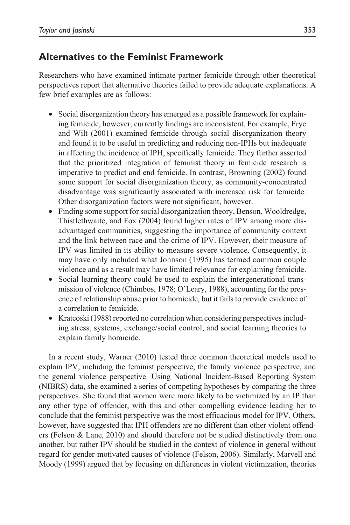# **Alternatives to the Feminist Framework**

Researchers who have examined intimate partner femicide through other theoretical perspectives report that alternative theories failed to provide adequate explanations. A few brief examples are as follows:

- Social disorganization theory has emerged as a possible framework for explaining femicide, however, currently findings are inconsistent. For example, Frye and Wilt (2001) examined femicide through social disorganization theory and found it to be useful in predicting and reducing non-IPHs but inadequate in affecting the incidence of IPH, specifically femicide. They further asserted that the prioritized integration of feminist theory in femicide research is imperative to predict and end femicide. In contrast, Browning (2002) found some support for social disorganization theory, as community-concentrated disadvantage was significantly associated with increased risk for femicide. Other disorganization factors were not significant, however.
- Finding some support for social disorganization theory, Benson, Wooldredge, Thistlethwaite, and Fox (2004) found higher rates of IPV among more disadvantaged communities, suggesting the importance of community context and the link between race and the crime of IPV. However, their measure of IPV was limited in its ability to measure severe violence. Consequently, it may have only included what Johnson (1995) has termed common couple violence and as a result may have limited relevance for explaining femicide.
- Social learning theory could be used to explain the intergenerational transmission of violence (Chimbos, 1978; O'Leary, 1988), accounting for the presence of relationship abuse prior to homicide, but it fails to provide evidence of a correlation to femicide.
- Kratcoski (1988) reported no correlation when considering perspectives including stress, systems, exchange/social control, and social learning theories to explain family homicide.

In a recent study, Warner (2010) tested three common theoretical models used to explain IPV, including the feminist perspective, the family violence perspective, and the general violence perspective. Using National Incident-Based Reporting System (NIBRS) data, she examined a series of competing hypotheses by comparing the three perspectives. She found that women were more likely to be victimized by an IP than any other type of offender, with this and other compelling evidence leading her to conclude that the feminist perspective was the most efficacious model for IPV. Others, however, have suggested that IPH offenders are no different than other violent offenders (Felson & Lane, 2010) and should therefore not be studied distinctively from one another, but rather IPV should be studied in the context of violence in general without regard for gender-motivated causes of violence (Felson, 2006). Similarly, Marvell and Moody (1999) argued that by focusing on differences in violent victimization, theories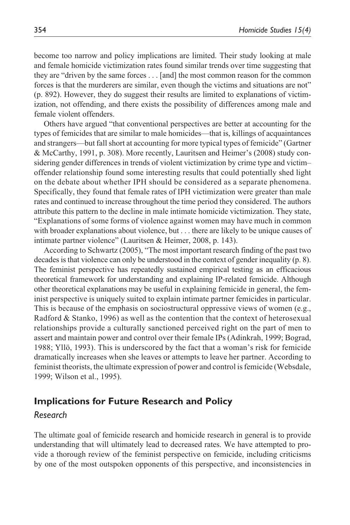become too narrow and policy implications are limited. Their study looking at male and female homicide victimization rates found similar trends over time suggesting that they are "driven by the same forces . . . [and] the most common reason for the common forces is that the murderers are similar, even though the victims and situations are not" (p. 892). However, they do suggest their results are limited to explanations of victimization, not offending, and there exists the possibility of differences among male and female violent offenders.

Others have argued "that conventional perspectives are better at accounting for the types of femicides that are similar to male homicides—that is, killings of acquaintances and strangers—but fall short at accounting for more typical types of femicide" (Gartner & McCarthy, 1991, p. 308). More recently, Lauritsen and Heimer's (2008) study considering gender differences in trends of violent victimization by crime type and victim– offender relationship found some interesting results that could potentially shed light on the debate about whether IPH should be considered as a separate phenomena. Specifically, they found that female rates of IPH victimization were greater than male rates and continued to increase throughout the time period they considered. The authors attribute this pattern to the decline in male intimate homicide victimization. They state, "Explanations of some forms of violence against women may have much in common with broader explanations about violence, but . . . there are likely to be unique causes of intimate partner violence" (Lauritsen & Heimer, 2008, p. 143).

According to Schwartz (2005), "The most important research finding of the past two decades is that violence can only be understood in the context of gender inequality (p. 8). The feminist perspective has repeatedly sustained empirical testing as an efficacious theoretical framework for understanding and explaining IP-related femicide. Although other theoretical explanations may be useful in explaining femicide in general, the feminist perspective is uniquely suited to explain intimate partner femicides in particular. This is because of the emphasis on sociostructural oppressive views of women (e.g., Radford & Stanko, 1996) as well as the contention that the context of heterosexual relationships provide a culturally sanctioned perceived right on the part of men to assert and maintain power and control over their female IPs (Adinkrah, 1999; Bograd, 1988; Yllö, 1993). This is underscored by the fact that a woman's risk for femicide dramatically increases when she leaves or attempts to leave her partner. According to feminist theorists, the ultimate expression of power and control is femicide (Websdale, 1999; Wilson et al., 1995).

# **Implications for Future Research and Policy**

#### *Research*

The ultimate goal of femicide research and homicide research in general is to provide understanding that will ultimately lead to decreased rates. We have attempted to provide a thorough review of the feminist perspective on femicide, including criticisms by one of the most outspoken opponents of this perspective, and inconsistencies in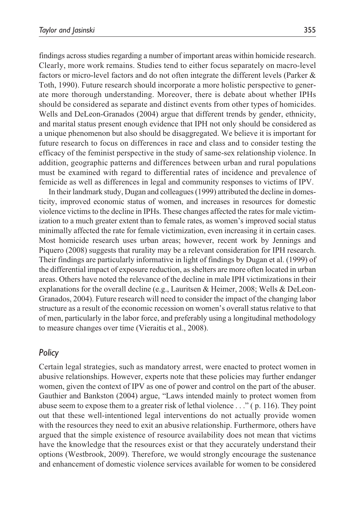findings across studies regarding a number of important areas within homicide research. Clearly, more work remains. Studies tend to either focus separately on macro-level factors or micro-level factors and do not often integrate the different levels (Parker & Toth, 1990). Future research should incorporate a more holistic perspective to generate more thorough understanding. Moreover, there is debate about whether IPHs should be considered as separate and distinct events from other types of homicides. Wells and DeLeon-Granados (2004) argue that different trends by gender, ethnicity, and marital status present enough evidence that IPH not only should be considered as a unique phenomenon but also should be disaggregated. We believe it is important for future research to focus on differences in race and class and to consider testing the efficacy of the feminist perspective in the study of same-sex relationship violence. In addition, geographic patterns and differences between urban and rural populations must be examined with regard to differential rates of incidence and prevalence of femicide as well as differences in legal and community responses to victims of IPV.

In their landmark study, Dugan and colleagues (1999) attributed the decline in domesticity, improved economic status of women, and increases in resources for domestic violence victims to the decline in IPHs. These changes affected the rates for male victimization to a much greater extent than to female rates, as women's improved social status minimally affected the rate for female victimization, even increasing it in certain cases. Most homicide research uses urban areas; however, recent work by Jennings and Piquero (2008) suggests that rurality may be a relevant consideration for IPH research. Their findings are particularly informative in light of findings by Dugan et al. (1999) of the differential impact of exposure reduction, as shelters are more often located in urban areas. Others have noted the relevance of the decline in male IPH victimizations in their explanations for the overall decline (e.g., Lauritsen & Heimer, 2008; Wells & DeLeon-Granados, 2004). Future research will need to consider the impact of the changing labor structure as a result of the economic recession on women's overall status relative to that of men, particularly in the labor force, and preferably using a longitudinal methodology to measure changes over time (Vieraitis et al., 2008).

# *Policy*

Certain legal strategies, such as mandatory arrest, were enacted to protect women in abusive relationships. However, experts note that these policies may further endanger women, given the context of IPV as one of power and control on the part of the abuser. Gauthier and Bankston (2004) argue, "Laws intended mainly to protect women from abuse seem to expose them to a greater risk of lethal violence . . ." ( p. 116). They point out that these well-intentioned legal interventions do not actually provide women with the resources they need to exit an abusive relationship. Furthermore, others have argued that the simple existence of resource availability does not mean that victims have the knowledge that the resources exist or that they accurately understand their options (Westbrook, 2009). Therefore, we would strongly encourage the sustenance and enhancement of domestic violence services available for women to be considered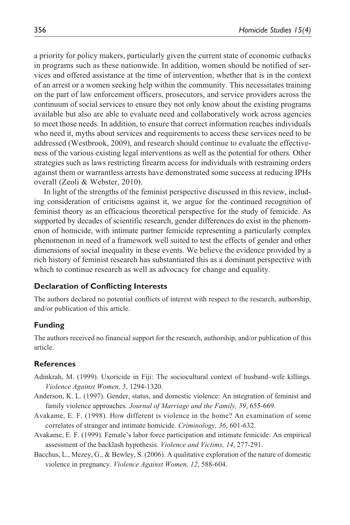a priority for policy makers, particularly given the current state of economic cutbacks in programs such as these nationwide. In addition, women should be notified of services and offered assistance at the time of intervention, whether that is in the context of an arrest or a women seeking help within the community. This necessitates training on the part of law enforcement officers, prosecutors, and service providers across the continuum of social services to ensure they not only know about the existing programs available but also are able to evaluate need and collaboratively work across agencies to meet those needs. In addition, to ensure that correct information reaches individuals who need it, myths about services and requirements to access these services need to be addressed (Westbrook, 2009), and research should continue to evaluate the effectiveness of the various existing legal interventions as well as the potential for others. Other strategies such as laws restricting firearm access for individuals with restraining orders against them or warrantless arrests have demonstrated some success at reducing IPHs overall (Zeoli & Webster, 2010).

In light of the strengths of the feminist perspective discussed in this review, including consideration of criticisms against it, we argue for the continued recognition of feminist theory as an efficacious theoretical perspective for the study of femicide. As supported by decades of scientific research, gender differences do exist in the phenomenon of homicide, with intimate partner femicide representing a particularly complex phenomenon in need of a framework well suited to test the effects of gender and other dimensions of social inequality in these events. We believe the evidence provided by a rich history of feminist research has substantiated this as a dominant perspective with which to continue research as well as advocacy for change and equality.

#### **Declaration of Conflicting Interests**

The authors declared no potential conflicts of interest with respect to the research, authorship, and/or publication of this article.

#### **Funding**

The authors received no financial support for the research, authorship, and/or publication of this article.

#### **References**

- Adinkrah, M. (1999). Uxoricide in Fiji: The sociocultural context of husband–wife killings. *Violence Against Women, 5*, 1294-1320.
- Anderson, K. L. (1997). Gender, status, and domestic violence: An integration of feminist and family violence approaches. *Journal of Marriage and the Family, 59*, 655-669.
- Avakame, E. F. (1998). How different is violence in the home? An examination of some correlates of stranger and intimate homicide. *Criminology, 36*, 601-632.
- Avakame, E. F. (1999). Female's labor force participation and intimate femicide: An empirical assessment of the backlash hypothesis. *Violence and Victims, 14*, 277-291.
- Bacchus, L., Mezey, G., & Bewley, S. (2006). A qualitative exploration of the nature of domestic violence in pregnancy. *Violence Against Women, 12*, 588-604.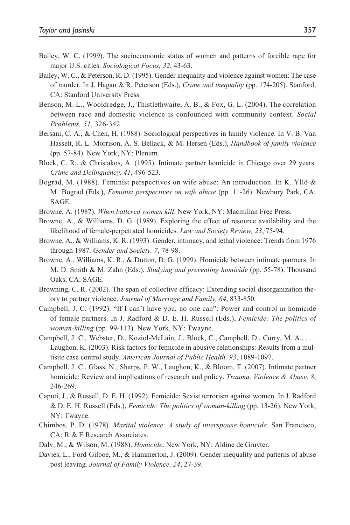- Bailey, W. C. (1999). The socioeconomic status of women and patterns of forcible rape for major U.S. cities. *Sociological Focus, 32*, 43-63.
- Bailey, W. C., & Peterson, R. D. (1995). Gender inequality and violence against women: The case of murder. In J. Hagan & R. Peterson (Eds.), *Crime and inequality* (pp. 174-205). Stanford, CA: Stanford University Press.
- Benson, M. L., Wooldredge, J., Thistlethwaite, A. B., & Fox, G. L. (2004). The correlation between race and domestic violence is confounded with community context. *Social Problems, 51*, 326-342.
- Bersani, C. A., & Chen, H. (1988). Sociological perspectives in family violence. In V. B. Van Hasselt, R. L. Morrison, A. S. Bellack, & M. Hersen (Eds.), *Handbook of family violence* (pp. 57-84). New York, NY: Plenum.
- Block, C. R., & Christakos, A. (1995). Intimate partner homicide in Chicago over 29 years. *Crime and Delinquency, 41*, 496-523.
- Bograd, M. (1988). Feminist perspectives on wife abuse: An introduction. In K. Yllö & M. Bograd (Eds.), *Feminist perspectives on wife abuse* (pp. 11-26). Newbury Park, CA: SAGE.
- Browne, A. (1987). *When battered women kill*. New York, NY: Macmillan Free Press.
- Browne, A., & Williams, D. G. (1989). Exploring the effect of resource availability and the likelihood of female-perpetrated homicides. *Law and Society Review, 23*, 75-94.
- Browne, A., & Williams, K. R. (1993). Gender, intimacy, and lethal violence: Trends from 1976 through 1987. *Gender and Society, 7*, 78-98.
- Browne, A., Williams, K. R., & Dutton, D. G. (1999). Homicide between intimate partners. In M. D. Smith & M. Zahn (Eds.), *Studying and preventing homicide* (pp. 55-78). Thousand Oaks, CA: SAGE.
- Browning, C. R. (2002). The span of collective efficacy: Extending social disorganization theory to partner violence. *Journal of Marriage and Family, 64*, 833-850.
- Campbell, J. C. (1992). "If I can't have you, no one can": Power and control in homicide of female partners. In J. Radford & D. E. H. Russell (Eds.), *Femicide: The politics of woman-killing* (pp. 99-113). New York, NY: Twayne.
- Campbell, J. C., Webster, D., Koziol-McLain, J., Block, C., Campbell, D., Curry, M. A., . . . Laughon, K. (2003). Risk factors for femicide in abusive relationships: Results from a multisite case control study. *American Journal of Public Health, 93*, 1089-1097.
- Campbell, J. C., Glass, N., Sharps, P. W., Laughon, K., & Bloom, T. (2007). Intimate partner homicide: Review and implications of research and policy. *Trauma, Violence & Abuse, 8*, 246-269.
- Caputi, J., & Russell, D. E. H. (1992). Femicide: Sexist terrorism against women. In J. Radford & D. E. H. Russell (Eds.), *Femicide: The politics of woman-killing* (pp. 13-26). New York, NY: Twayne.
- Chimbos, P. D. (1978). *Marital violence: A study of interspouse homicide*. San Francisco, CA: R & E Research Associates.
- Daly, M., & Wilson, M. (1988). *Homicide*. New York, NY: Aldine de Gruyter.
- Davies, L., Ford-Gilboe, M., & Hammerton, J. (2009). Gender inequality and patterns of abuse post leaving. *Journal of Family Violence, 24*, 27-39.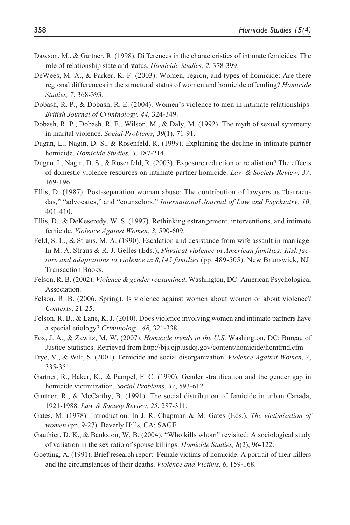- Dawson, M., & Gartner, R. (1998). Differences in the characteristics of intimate femicides: The role of relationship state and status. *Homicide Studies, 2*, 378-399.
- DeWees, M. A., & Parker, K. F. (2003). Women, region, and types of homicide: Are there regional differences in the structural status of women and homicide offending? *Homicide Studies, 7*, 368-393.
- Dobash, R. P., & Dobash, R. E. (2004). Women's violence to men in intimate relationships. *British Journal of Criminology, 44*, 324-349.
- Dobash, R. P., Dobash, R. E., Wilson, M., & Daly, M. (1992). The myth of sexual symmetry in marital violence. *Social Problems, 39*(1), 71-91.
- Dugan, L., Nagin, D. S., & Rosenfeld, R. (1999). Explaining the decline in intimate partner homicide. *Homicide Studies, 3*, 187-214.
- Dugan, L, Nagin, D. S., & Rosenfeld, R. (2003). Exposure reduction or retaliation? The effects of domestic violence resources on intimate-partner homicide. *Law & Society Review, 37*, 169-196.
- Ellis, D. (1987). Post-separation woman abuse: The contribution of lawyers as "barracudas," "advocates," and "counselors." *International Journal of Law and Psychiatry, 10*, 401-410.
- Ellis, D., & DeKeseredy, W. S. (1997). Rethinking estrangement, interventions, and intimate femicide. *Violence Against Women, 3*, 590-609.
- Feld, S. L., & Straus, M. A. (1990). Escalation and desistance from wife assault in marriage. In M. A. Straus & R. J. Gelles (Eds.), *Physical violence in American families: Risk factors and adaptations to violence in 8,145 families* (pp. 489-505). New Brunswick, NJ: Transaction Books.
- Felson, R. B. (2002). *Violence & gender reexamined*. Washington, DC: American Psychological Association.
- Felson, R. B. (2006, Spring). Is violence against women about women or about violence? *Contexts*, 21-25.
- Felson, R. B., & Lane, K. J. (2010). Does violence involving women and intimate partners have a special etiology? *Criminology, 48*, 321-338.
- Fox, J. A., & Zawitz, M. W. (2007). *Homicide trends in the U.S*. Washington, DC: Bureau of Justice Statistics. Retrieved from http://bjs.ojp.usdoj.gov/content/homicide/homtrnd.cfm
- Frye, V., & Wilt, S. (2001). Femicide and social disorganization. *Violence Against Women, 7*, 335-351.
- Gartner, R., Baker, K., & Pampel, F. C. (1990). Gender stratification and the gender gap in homicide victimization. *Social Problems, 37*, 593-612.
- Gartner, R., & McCarthy, B. (1991). The social distribution of femicide in urban Canada, 1921-1988. *Law & Society Review, 25*, 287-311.
- Gates, M. (1978). Introduction. In J. R. Chapman & M. Gates (Eds.), *The victimization of women* (pp. 9-27). Beverly Hills, CA: SAGE.
- Gauthier, D. K., & Bankston, W. B. (2004). "Who kills whom" revisited: A sociological study of variation in the sex ratio of spouse killings. *Homicide Studies, 8*(2), 96-122.
- Goetting, A. (1991). Brief research report: Female victims of homicide: A portrait of their killers and the circumstances of their deaths. *Violence and Victims, 6*, 159-168.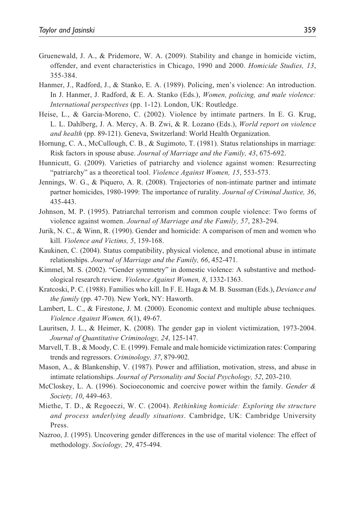- Gruenewald, J. A., & Pridemore, W. A. (2009). Stability and change in homicide victim, offender, and event characteristics in Chicago, 1990 and 2000. *Homicide Studies, 13*, 355-384.
- Hanmer, J., Radford, J., & Stanko, E. A. (1989). Policing, men's violence: An introduction. In J. Hanmer, J. Radford, & E. A. Stanko (Eds.), *Women, policing, and male violence: International perspectives* (pp. 1-12). London, UK: Routledge.
- Heise, L., & Garcia-Moreno, C. (2002). Violence by intimate partners. In E. G. Krug, L. L. Dahlberg, J. A. Mercy, A. B. Zwi, & R. Lozano (Eds.), *World report on violence and health* (pp. 89-121). Geneva, Switzerland: World Health Organization.
- Hornung, C. A., McCullough, C. B., & Sugimoto, T. (1981). Status relationships in marriage: Risk factors in spouse abuse. *Journal of Marriage and the Family, 43*, 675-692.
- Hunnicutt, G. (2009). Varieties of patriarchy and violence against women: Resurrecting "patriarchy" as a theoretical tool. *Violence Against Women, 15*, 553-573.
- Jennings, W. G., & Piquero, A. R. (2008). Trajectories of non-intimate partner and intimate partner homicides, 1980-1999: The importance of rurality. *Journal of Criminal Justice, 36*, 435-443.
- Johnson, M. P. (1995). Patriarchal terrorism and common couple violence: Two forms of violence against women. *Journal of Marriage and the Family, 57*, 283-294.
- Jurik, N. C., & Winn, R. (1990). Gender and homicide: A comparison of men and women who kill. *Violence and Victims, 5*, 159-168.
- Kaukinen, C. (2004). Status compatibility, physical violence, and emotional abuse in intimate relationships. *Journal of Marriage and the Family, 66*, 452-471.
- Kimmel, M. S. (2002). "Gender symmetry" in domestic violence: A substantive and methodological research review. *Violence Against Women, 8*, 1332-1363.
- Kratcoski, P. C. (1988). Families who kill. In F. E. Haga & M. B. Sussman (Eds.), *Deviance and the family* (pp. 47-70). New York, NY: Haworth.
- Lambert, L. C., & Firestone, J. M. (2000). Economic context and multiple abuse techniques. *Violence Against Women, 6*(1), 49-67.
- Lauritsen, J. L., & Heimer, K. (2008). The gender gap in violent victimization, 1973-2004. *Journal of Quantitative Criminology, 24*, 125-147.
- Marvell, T. B., & Moody, C. E. (1999). Female and male homicide victimization rates: Comparing trends and regressors. *Criminology, 37*, 879-902.
- Mason, A., & Blankenship, V. (1987). Power and affiliation, motivation, stress, and abuse in intimate relationships. *Journal of Personality and Social Psychology, 52*, 203-210.
- McCloskey, L. A. (1996). Socioeconomic and coercive power within the family. *Gender & Society, 10*, 449-463.
- Miethe, T. D., & Regoeczi, W. C. (2004). *Rethinking homicide: Exploring the structure and process underlying deadly situations*. Cambridge, UK: Cambridge University Press.
- Nazroo, J. (1995). Uncovering gender differences in the use of marital violence: The effect of methodology. *Sociology, 29*, 475-494.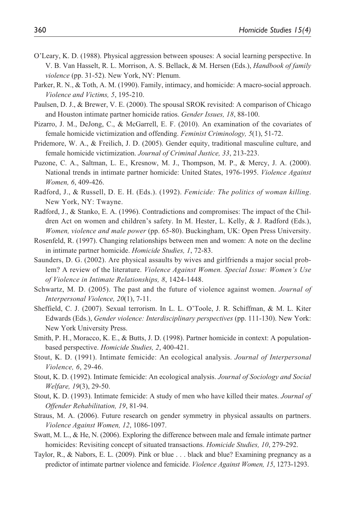- O'Leary, K. D. (1988). Physical aggression between spouses: A social learning perspective. In V. B. Van Hasselt, R. L. Morrison, A. S. Bellack, & M. Hersen (Eds.), *Handbook of family violence* (pp. 31-52). New York, NY: Plenum.
- Parker, R. N., & Toth, A. M. (1990). Family, intimacy, and homicide: A macro-social approach. *Violence and Victims, 5*, 195-210.
- Paulsen, D. J., & Brewer, V. E. (2000). The spousal SROK revisited: A comparison of Chicago and Houston intimate partner homicide ratios. *Gender Issues, 18*, 88-100.
- Pizarro, J. M., DeJong, C., & McGarrell, E. F. (2010). An examination of the covariates of female homicide victimization and offending. *Feminist Criminology, 5*(1), 51-72.
- Pridemore, W. A., & Freilich, J. D. (2005). Gender equity, traditional masculine culture, and female homicide victimization. *Journal of Criminal Justice, 33*, 213-223.
- Puzone, C. A., Saltman, L. E., Kresnow, M. J., Thompson, M. P., & Mercy, J. A. (2000). National trends in intimate partner homicide: United States, 1976-1995. *Violence Against Women, 6*, 409-426.
- Radford, J., & Russell, D. E. H. (Eds.). (1992). *Femicide: The politics of woman killing*. New York, NY: Twayne.
- Radford, J., & Stanko, E. A. (1996). Contradictions and compromises: The impact of the Children Act on women and children's safety. In M. Hester, L. Kelly, & J. Radford (Eds.), *Women, violence and male power* (pp. 65-80). Buckingham, UK: Open Press University.
- Rosenfeld, R. (1997). Changing relationships between men and women: A note on the decline in intimate partner homicide. *Homicide Studies, 1*, 72-83.
- Saunders, D. G. (2002). Are physical assaults by wives and girlfriends a major social problem? A review of the literature. *Violence Against Women. Special Issue: Women's Use of Violence in Intimate Relationships, 8*, 1424-1448.
- Schwartz, M. D. (2005). The past and the future of violence against women. *Journal of Interpersonal Violence, 20*(1), 7-11.
- Sheffield, C. J. (2007). Sexual terrorism. In L. L. O'Toole, J. R. Schiffman, & M. L. Kiter Edwards (Eds.), *Gender violence: Interdisciplinary perspectives* (pp. 111-130). New York: New York University Press.
- Smith, P. H., Moracco, K. E., & Butts, J. D. (1998). Partner homicide in context: A populationbased perspective. *Homicide Studies, 2*, 400-421.
- Stout, K. D. (1991). Intimate femicide: An ecological analysis. *Journal of Interpersonal Violence, 6*, 29-46.
- Stout, K. D. (1992). Intimate femicide: An ecological analysis. *Journal of Sociology and Social Welfare, 19*(3), 29-50.
- Stout, K. D. (1993). Intimate femicide: A study of men who have killed their mates. *Journal of Offender Rehabilitation, 19*, 81-94.
- Straus, M. A. (2006). Future research on gender symmetry in physical assaults on partners. *Violence Against Women, 12*, 1086-1097.
- Swatt, M. L., & He, N. (2006). Exploring the difference between male and female intimate partner homicides: Revisiting concept of situated transactions. *Homicide Studies, 10*, 279-292.
- Taylor, R., & Nabors, E. L. (2009). Pink or blue . . . black and blue? Examining pregnancy as a predictor of intimate partner violence and femicide. *Violence Against Women, 15*, 1273-1293.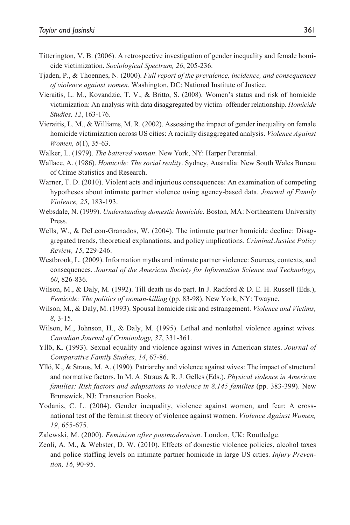- Titterington, V. B. (2006). A retrospective investigation of gender inequality and female homicide victimization. *Sociological Spectrum, 26*, 205-236.
- Tjaden, P., & Thoennes, N. (2000). *Full report of the prevalence, incidence, and consequences of violence against women*. Washington, DC: National Institute of Justice.
- Vieraitis, L. M., Kovandzic, T. V., & Britto, S. (2008). Women's status and risk of homicide victimization: An analysis with data disaggregated by victim–offender relationship. *Homicide Studies, 12*, 163-176.
- Vieraitis, L. M., & Williams, M. R. (2002). Assessing the impact of gender inequality on female homicide victimization across US cities: A racially disaggregated analysis. *Violence Against Women, 8*(1), 35-63.
- Walker, L. (1979). *The battered woman*. New York, NY: Harper Perennial.
- Wallace, A. (1986). *Homicide: The social reality*. Sydney, Australia: New South Wales Bureau of Crime Statistics and Research.
- Warner, T. D. (2010). Violent acts and injurious consequences: An examination of competing hypotheses about intimate partner violence using agency-based data. *Journal of Family Violence, 25*, 183-193.
- Websdale, N. (1999). *Understanding domestic homicide*. Boston, MA: Northeastern University Press.
- Wells, W., & DeLeon-Granados, W. (2004). The intimate partner homicide decline: Disaggregated trends, theoretical explanations, and policy implications. *Criminal Justice Policy Review, 15*, 229-246.
- Westbrook, L. (2009). Information myths and intimate partner violence: Sources, contexts, and consequences. *Journal of the American Society for Information Science and Technology, 60*, 826-836.
- Wilson, M., & Daly, M. (1992). Till death us do part. In J. Radford & D. E. H. Russell (Eds.), *Femicide: The politics of woman-killing* (pp. 83-98). New York, NY: Twayne.
- Wilson, M., & Daly, M. (1993). Spousal homicide risk and estrangement. *Violence and Victims, 8*, 3-15.
- Wilson, M., Johnson, H., & Daly, M. (1995). Lethal and nonlethal violence against wives. *Canadian Journal of Criminology, 37*, 331-361.
- Yllö, K. (1993). Sexual equality and violence against wives in American states. *Journal of Comparative Family Studies, 14*, 67-86.
- Yllö, K., & Straus, M. A. (1990). Patriarchy and violence against wives: The impact of structural and normative factors. In M. A. Straus & R. J. Gelles (Eds.), *Physical violence in American families: Risk factors and adaptations to violence in 8,145 families* (pp. 383-399). New Brunswick, NJ: Transaction Books.
- Yodanis, C. L. (2004). Gender inequality, violence against women, and fear: A crossnational test of the feminist theory of violence against women. *Violence Against Women, 19*, 655-675.
- Zalewski, M. (2000). *Feminism after postmodernism*. London, UK: Routledge.
- Zeoli, A. M., & Webster, D. W. (2010). Effects of domestic violence policies, alcohol taxes and police staffing levels on intimate partner homicide in large US cities. *Injury Prevention, 16*, 90-95.